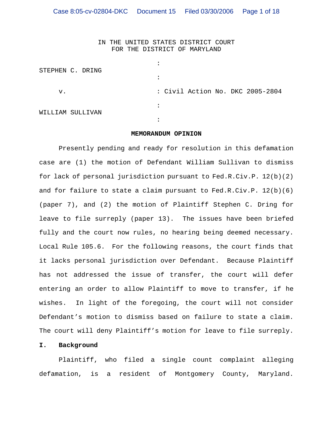IN THE UNITED STATES DISTRICT COURT FOR THE DISTRICT OF MARYLAND

|    | STEPHEN C. DRING |           |  |  |                                  |  |
|----|------------------|-----------|--|--|----------------------------------|--|
|    |                  | $\bullet$ |  |  |                                  |  |
| v. |                  |           |  |  | : Civil Action No. DKC 2005-2804 |  |
|    | WILLIAM SULLIVAN | $\bullet$ |  |  |                                  |  |
|    |                  | ٠         |  |  |                                  |  |

#### **MEMORANDUM OPINION**

Presently pending and ready for resolution in this defamation case are (1) the motion of Defendant William Sullivan to dismiss for lack of personal jurisdiction pursuant to Fed.R.Civ.P. 12(b)(2) and for failure to state a claim pursuant to Fed.R.Civ.P.  $12(b)(6)$ (paper 7), and (2) the motion of Plaintiff Stephen C. Dring for leave to file surreply (paper 13). The issues have been briefed fully and the court now rules, no hearing being deemed necessary. Local Rule 105.6. For the following reasons, the court finds that it lacks personal jurisdiction over Defendant. Because Plaintiff has not addressed the issue of transfer, the court will defer entering an order to allow Plaintiff to move to transfer, if he wishes. In light of the foregoing, the court will not consider Defendant's motion to dismiss based on failure to state a claim. The court will deny Plaintiff's motion for leave to file surreply.

### **I. Background**

Plaintiff, who filed a single count complaint alleging defamation, is a resident of Montgomery County, Maryland.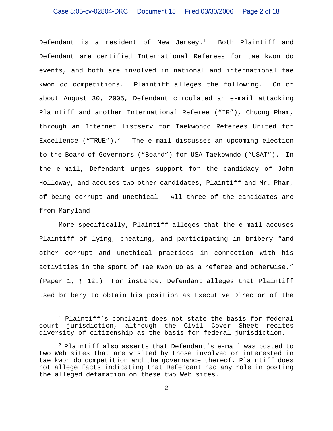Defendant is a resident of New Jersey. $<sup>1</sup>$  Both Plaintiff and</sup> Defendant are certified International Referees for tae kwon do events, and both are involved in national and international tae kwon do competitions. Plaintiff alleges the following. On or about August 30, 2005, Defendant circulated an e-mail attacking Plaintiff and another International Referee ("IR"), Chuong Pham, through an Internet listserv for Taekwondo Referees United for Excellence ("TRUE"). $^{2}$  The e-mail discusses an upcoming election to the Board of Governors ("Board") for USA Taekowndo ("USAT"). In the e-mail, Defendant urges support for the candidacy of John Holloway, and accuses two other candidates, Plaintiff and Mr. Pham, of being corrupt and unethical. All three of the candidates are from Maryland.

More specifically, Plaintiff alleges that the e-mail accuses Plaintiff of lying, cheating, and participating in bribery "and other corrupt and unethical practices in connection with his activities in the sport of Tae Kwon Do as a referee and otherwise." (Paper 1, ¶ 12.) For instance, Defendant alleges that Plaintiff used bribery to obtain his position as Executive Director of the

<sup>&</sup>lt;sup>1</sup> Plaintiff's complaint does not state the basis for federal court jurisdiction, although the Civil Cover Sheet recites diversity of citizenship as the basis for federal jurisdiction.

<sup>2</sup> Plaintiff also asserts that Defendant's e-mail was posted to two Web sites that are visited by those involved or interested in tae kwon do competition and the governance thereof. Plaintiff does not allege facts indicating that Defendant had any role in posting the alleged defamation on these two Web sites.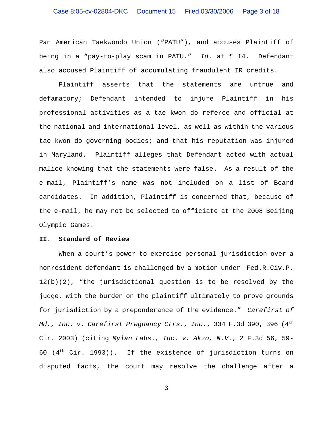## Case 8:05-cv-02804-DKC Document 15 Filed 03/30/2006 Page 3 of 18

Pan American Taekwondo Union ("PATU"), and accuses Plaintiff of being in a "pay-to-play scam in PATU." *Id.* at ¶ 14. Defendant also accused Plaintiff of accumulating fraudulent IR credits.

Plaintiff asserts that the statements are untrue and defamatory; Defendant intended to injure Plaintiff in his professional activities as a tae kwon do referee and official at the national and international level, as well as within the various tae kwon do governing bodies; and that his reputation was injured in Maryland. Plaintiff alleges that Defendant acted with actual malice knowing that the statements were false. As a result of the e-mail, Plaintiff's name was not included on a list of Board candidates. In addition, Plaintiff is concerned that, because of the e-mail, he may not be selected to officiate at the 2008 Beijing Olympic Games.

## **II. Standard of Review**

When a court's power to exercise personal jurisdiction over a nonresident defendant is challenged by a motion under Fed.R.Civ.P. 12(b)(2), "the jurisdictional question is to be resolved by the judge, with the burden on the plaintiff ultimately to prove grounds for jurisdiction by a preponderance of the evidence." *Carefirst of Md., Inc. v. Carefirst Pregnancy Ctrs., Inc.*, 334 F.3d 390, 396 (4th Cir. 2003) (citing *Mylan Labs., Inc. v. Akzo, N.V.*, 2 F.3d 56, 59- 60 ( $4<sup>th</sup>$  Cir. 1993)). If the existence of jurisdiction turns on disputed facts, the court may resolve the challenge after a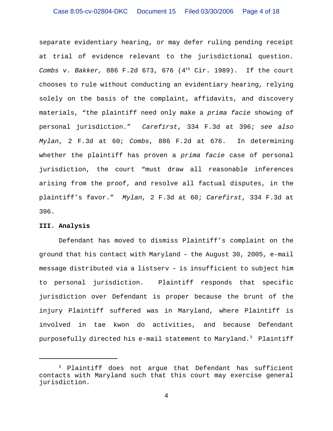separate evidentiary hearing, or may defer ruling pending receipt at trial of evidence relevant to the jurisdictional question. *Combs v. Bakker,* 886 F.2d 673, 676 (4<sup>th</sup> Cir. 1989). If the court chooses to rule without conducting an evidentiary hearing, relying solely on the basis of the complaint, affidavits, and discovery materials, "the plaintiff need only make a *prima facie* showing of personal jurisdiction." *Carefirst*, 334 F.3d at 396; *see also Mylan*, 2 F.3d at 60; *Combs*, 886 F.2d at 676. In determining whether the plaintiff has proven a *prima facie* case of personal jurisdiction, the court "must draw all reasonable inferences arising from the proof, and resolve all factual disputes, in the plaintiff's favor." *Mylan,* 2 F.3d at 60; *Carefirst*, 334 F.3d at 396.

### **III. Analysis**

Defendant has moved to dismiss Plaintiff's complaint on the ground that his contact with Maryland – the August 30, 2005, e-mail message distributed via a listserv – is insufficient to subject him to personal jurisdiction. Plaintiff responds that specific jurisdiction over Defendant is proper because the brunt of the injury Plaintiff suffered was in Maryland, where Plaintiff is involved in tae kwon do activities, and because Defendant purposefully directed his e-mail statement to Maryland.3 Plaintiff

<sup>&</sup>lt;sup>3</sup> Plaintiff does not argue that Defendant has sufficient contacts with Maryland such that this court may exercise general jurisdiction.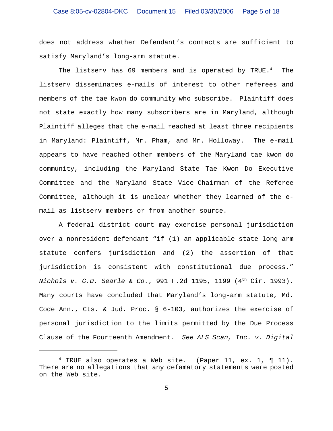does not address whether Defendant's contacts are sufficient to satisfy Maryland's long-arm statute.

The listserv has 69 members and is operated by TRUE.<sup>4</sup> The listserv disseminates e-mails of interest to other referees and members of the tae kwon do community who subscribe. Plaintiff does not state exactly how many subscribers are in Maryland, although Plaintiff alleges that the e-mail reached at least three recipients in Maryland: Plaintiff, Mr. Pham, and Mr. Holloway. The e-mail appears to have reached other members of the Maryland tae kwon do community, including the Maryland State Tae Kwon Do Executive Committee and the Maryland State Vice-Chairman of the Referee Committee, although it is unclear whether they learned of the email as listserv members or from another source.

A federal district court may exercise personal jurisdiction over a nonresident defendant "if (1) an applicable state long-arm statute confers jurisdiction and (2) the assertion of that jurisdiction is consistent with constitutional due process." *Nichols v. G.D. Searle & Co.*, 991 F.2d 1195, 1199 (4th Cir. 1993). Many courts have concluded that Maryland's long-arm statute, Md. Code Ann., Cts. & Jud. Proc. § 6-103, authorizes the exercise of personal jurisdiction to the limits permitted by the Due Process Clause of the Fourteenth Amendment. *See ALS Scan, Inc. v. Digital*

 $4$  TRUE also operates a Web site. (Paper 11, ex. 1,  $\P$  11). There are no allegations that any defamatory statements were posted on the Web site.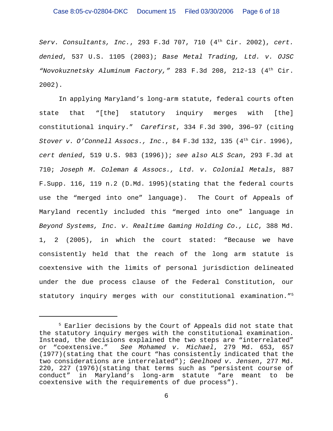*Serv. Consultants, Inc.*, 293 F.3d 707, 710 (4th Cir. 2002), *cert. denied*, 537 U.S. 1105 (2003); *Base Metal Trading, Ltd. v. OJSC "Novokuznetsky Aluminum Factory,"* 283 F.3d 208, 212-13 (4th Cir. 2002).

In applying Maryland's long-arm statute, federal courts often state that "[the] statutory inquiry merges with [the] constitutional inquiry." *Carefirst*, 334 F.3d 390, 396–97 (citing *Stover v. O'Connell Assocs., Inc., 84 F.3d 132, 135 (4<sup>th</sup> Cir. 1996), cert denied*, 519 U.S. 983 (1996)); *see also ALS Scan*, 293 F.3d at 710; *Joseph M. Coleman & Assocs., Ltd. v. Colonial Metals*, 887 F.Supp. 116, 119 n.2 (D.Md. 1995)(stating that the federal courts use the "merged into one" language). The Court of Appeals of Maryland recently included this "merged into one" language in *Beyond Systems, Inc. v. Realtime Gaming Holding Co., LLC*, 388 Md. 1, 2 (2005), in which the court stated: "Because we have consistently held that the reach of the long arm statute is coextensive with the limits of personal jurisdiction delineated under the due process clause of the Federal Constitution, our statutory inquiry merges with our constitutional examination."5

<sup>&</sup>lt;sup>5</sup> Earlier decisions by the Court of Appeals did not state that the statutory inquiry merges with the constitutional examination. Instead, the decisions explained the two steps are "interrelated" or "coextensive." *See Mohamed v. Michael*, 279 Md. 653, 657 (1977)(stating that the court "has consistently indicated that the two considerations are interrelated"); *Geelhoed v. Jensen*, 277 Md. 220, 227 (1976)(stating that terms such as "persistent course of conduct" in Maryland's long-arm statute "are meant to be coextensive with the requirements of due process").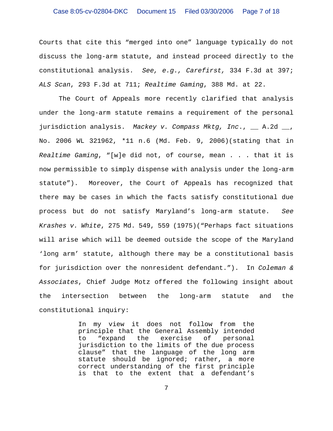# Case 8:05-cv-02804-DKC Document 15 Filed 03/30/2006 Page 7 of 18

Courts that cite this "merged into one" language typically do not discuss the long-arm statute, and instead proceed directly to the constitutional analysis. *See, e.g., Carefirst,* 334 F.3d at 397; *ALS Scan*, 293 F.3d at 711; *Realtime Gaming*, 388 Md. at 22.

The Court of Appeals more recently clarified that analysis under the long-arm statute remains a requirement of the personal jurisdiction analysis. *Mackey v. Compass Mktg, Inc*., \_\_ A.2d \_\_, No. 2006 WL 321962, \*11 n.6 (Md. Feb. 9, 2006)(stating that in *Realtime Gaming*, "[w]e did not, of course, mean . . . that it is now permissible to simply dispense with analysis under the long-arm statute"). Moreover, the Court of Appeals has recognized that there may be cases in which the facts satisfy constitutional due process but do not satisfy Maryland's long-arm statute. *See Krashes v. White*, 275 Md. 549, 559 (1975)("Perhaps fact situations will arise which will be deemed outside the scope of the Maryland 'long arm' statute, although there may be a constitutional basis for jurisdiction over the nonresident defendant."). In *Coleman & Associates*, Chief Judge Motz offered the following insight about the intersection between the long-arm statute and the constitutional inquiry:

> In my view it does not follow from the principle that the General Assembly intended to "expand the exercise of personal jurisdiction to the limits of the due process clause" that the language of the long arm statute should be ignored; rather, a more correct understanding of the first principle is that to the extent that a defendant's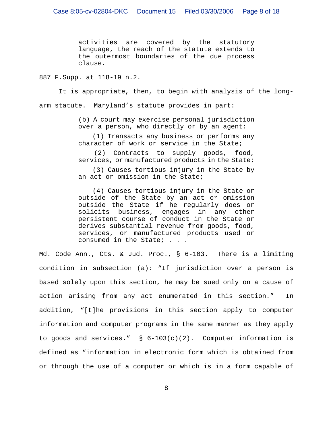activities are covered by the statutory language, the reach of the statute extends to the outermost boundaries of the due process clause.

887 F.Supp. at 118-19 n.2.

It is appropriate, then, to begin with analysis of the longarm statute. Maryland's statute provides in part:

> (b) A court may exercise personal jurisdiction over a person, who directly or by an agent:

> (1) Transacts any business or performs any character of work or service in the State;

> (2) Contracts to supply goods, food, services, or manufactured products in the State;

> (3) Causes tortious injury in the State by an act or omission in the State;

> (4) Causes tortious injury in the State or outside of the State by an act or omission outside the State if he regularly does or solicits business, engages in any other persistent course of conduct in the State or derives substantial revenue from goods, food, services, or manufactured products used or consumed in the State; . . .

Md. Code Ann., Cts. & Jud. Proc., § 6-103. There is a limiting condition in subsection (a): "If jurisdiction over a person is based solely upon this section, he may be sued only on a cause of action arising from any act enumerated in this section." In addition, "[t]he provisions in this section apply to computer information and computer programs in the same manner as they apply to goods and services."  $\S$  6-103(c)(2). Computer information is defined as "information in electronic form which is obtained from or through the use of a computer or which is in a form capable of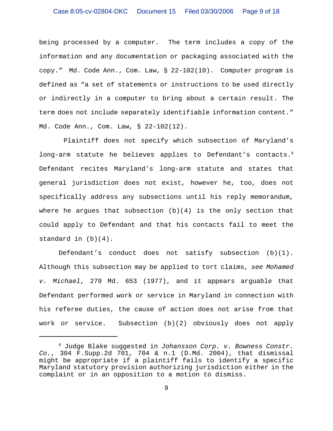being processed by a computer. The term includes a copy of the information and any documentation or packaging associated with the copy." Md. Code Ann., Com. Law, § 22-102(10). Computer program is defined as "a set of statements or instructions to be used directly or indirectly in a computer to bring about a certain result. The term does not include separately identifiable information content." Md. Code Ann., Com. Law, § 22-102(12).

 Plaintiff does not specify which subsection of Maryland's long-arm statute he believes applies to Defendant's contacts.<sup>6</sup> Defendant recites Maryland's long-arm statute and states that general jurisdiction does not exist, however he, too, does not specifically address any subsections until his reply memorandum, where he argues that subsection  $(b)(4)$  is the only section that could apply to Defendant and that his contacts fail to meet the standard in (b)(4).

Defendant's conduct does not satisfy subsection (b)(1). Although this subsection may be applied to tort claims, *see Mohamed v. Michael*, 279 Md. 653 (1977), and it appears arguable that Defendant performed work or service in Maryland in connection with his referee duties, the cause of action does not arise from that work or service. Subsection (b)(2) obviously does not apply

<sup>6</sup> Judge Blake suggested in *Johansson Corp. v. Bowness Constr. Co.*, 304 F.Supp.2d 701, 704 & n.1 (D.Md. 2004), that dismissal might be appropriate if a plaintiff fails to identify a specific Maryland statutory provision authorizing jurisdiction either in the complaint or in an opposition to a motion to dismiss.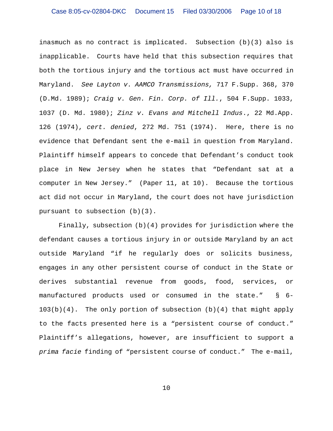inasmuch as no contract is implicated. Subsection (b)(3) also is inapplicable. Courts have held that this subsection requires that both the tortious injury and the tortious act must have occurred in Maryland. *See Layton v. AAMCO Transmissions,* 717 F.Supp. 368, 370 (D.Md. 1989); *Craig v. Gen. Fin. Corp. of Ill.*, 504 F.Supp. 1033, 1037 (D. Md. 1980); *Zinz v. Evans and Mitchell Indus*., 22 Md.App. 126 (1974), *cert. denied*, 272 Md. 751 (1974). Here, there is no evidence that Defendant sent the e-mail in question from Maryland. Plaintiff himself appears to concede that Defendant's conduct took place in New Jersey when he states that "Defendant sat at a computer in New Jersey." (Paper 11, at 10). Because the tortious act did not occur in Maryland, the court does not have jurisdiction pursuant to subsection (b)(3).

Finally, subsection  $(b)(4)$  provides for jurisdiction where the defendant causes a tortious injury in or outside Maryland by an act outside Maryland "if he regularly does or solicits business, engages in any other persistent course of conduct in the State or derives substantial revenue from goods, food, services, or manufactured products used or consumed in the state." § 6-  $103(b)(4)$ . The only portion of subsection  $(b)(4)$  that might apply to the facts presented here is a "persistent course of conduct." Plaintiff's allegations, however, are insufficient to support a *prima facie* finding of "persistent course of conduct." The e-mail,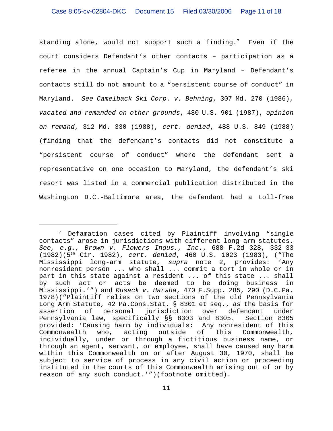standing alone, would not support such a finding.<sup>7</sup> Even if the court considers Defendant's other contacts – participation as a referee in the annual Captain's Cup in Maryland – Defendant's contacts still do not amount to a "persistent course of conduct" in Maryland. *See Camelback Ski Corp. v. Behning*, 307 Md. 270 (1986), *vacated and remanded on other grounds*, 480 U.S. 901 (1987), *opinion on remand*, 312 Md. 330 (1988), *cert. denied*, 488 U.S. 849 (1988) (finding that the defendant's contacts did not constitute a "persistent course of conduct" where the defendant sent a representative on one occasion to Maryland, the defendant's ski resort was listed in a commercial publication distributed in the Washington D.C.-Baltimore area, the defendant had a toll-free

 $7$  Defamation cases cited by Plaintiff involving "single contacts" arose in jurisdictions with different long-arm statutes. *See, e.g., Brown v. Flowers Indus., Inc.*, 688 F.2d 328, 332-33 (1982)(5th Cir. 1982), *cert. denied*, 460 U.S. 1023 (1983), ("The Mississippi long-arm statute, *supra* note 2, provides: 'Any nonresident person ... who shall ... commit a tort in whole or in part in this state against a resident ... of this state ... shall by such act or acts be deemed to be doing business in Mississippi.'") and *Rusack v. Harsha*, 470 F.Supp. 285, 290 (D.C.Pa. 1978)("Plaintiff relies on two sections of the old Pennsylvania Long Arm Statute, 42 Pa.Cons.Stat. § 8301 et seq., as the basis for assertion of personal jurisdiction over defendant under Pennsylvania law, specifically §§ 8303 and 8305. Section 8305 provided: 'Causing harm by individuals: Any nonresident of this Commonwealth who, acting outside of this Commonwealth, individually, under or through a fictitious business name, or through an agent, servant, or employee, shall have caused any harm within this Commonwealth on or after August 30, 1970, shall be subject to service of process in any civil action or proceeding instituted in the courts of this Commonwealth arising out of or by reason of any such conduct.'")(footnote omitted).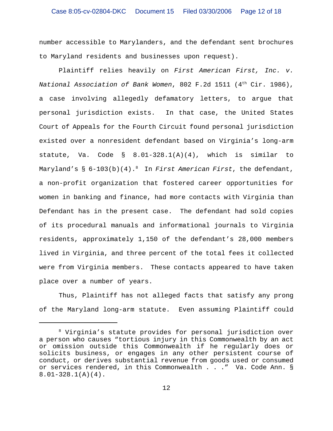number accessible to Marylanders, and the defendant sent brochures to Maryland residents and businesses upon request).

Plaintiff relies heavily on *First American First, Inc. v. National Association of Bank Women*, 802 F.2d 1511 (4th Cir. 1986), a case involving allegedly defamatory letters, to argue that personal jurisdiction exists. In that case, the United States Court of Appeals for the Fourth Circuit found personal jurisdiction existed over a nonresident defendant based on Virginia's long-arm statute, Va. Code §  $8.01-328.1(A)(4)$ , which is similar to Maryland's § 6-103(b)(4).<sup>8</sup> In *First American First*, the defendant, a non-profit organization that fostered career opportunities for women in banking and finance, had more contacts with Virginia than Defendant has in the present case. The defendant had sold copies of its procedural manuals and informational journals to Virginia residents, approximately 1,150 of the defendant's 28,000 members lived in Virginia, and three percent of the total fees it collected were from Virginia members. These contacts appeared to have taken place over a number of years.

Thus, Plaintiff has not alleged facts that satisfy any prong of the Maryland long-arm statute. Even assuming Plaintiff could

<sup>8</sup> Virginia's statute provides for personal jurisdiction over a person who causes "tortious injury in this Commonwealth by an act or omission outside this Commonwealth if he regularly does or solicits business, or engages in any other persistent course of conduct, or derives substantial revenue from goods used or consumed or services rendered, in this Commonwealth . . ." Va. Code Ann. § 8.01-328.1(A)(4).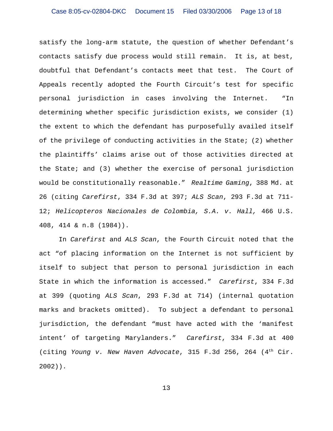satisfy the long-arm statute, the question of whether Defendant's contacts satisfy due process would still remain. It is, at best, doubtful that Defendant's contacts meet that test. The Court of Appeals recently adopted the Fourth Circuit's test for specific personal jurisdiction in cases involving the Internet. "In determining whether specific jurisdiction exists, we consider (1) the extent to which the defendant has purposefully availed itself of the privilege of conducting activities in the State; (2) whether the plaintiffs' claims arise out of those activities directed at the State; and (3) whether the exercise of personal jurisdiction would be constitutionally reasonable." *Realtime Gaming*, 388 Md. at 26 (citing *Carefirst*, 334 F.3d at 397; *ALS Scan*, 293 F.3d at 711- 12; *Helicopteros Nacionales de Colombia, S.A. v. Hall,* 466 U.S. 408, 414 & n.8 (1984)).

In *Carefirst* and *ALS Scan*, the Fourth Circuit noted that the act "of placing information on the Internet is not sufficient by itself to subject that person to personal jurisdiction in each State in which the information is accessed." *Carefirst*, 334 F.3d at 399 (quoting *ALS Scan*, 293 F.3d at 714) (internal quotation marks and brackets omitted). To subject a defendant to personal jurisdiction, the defendant "must have acted with the 'manifest intent' of targeting Marylanders." *Carefirst*, 334 F.3d at 400 (citing *Young v. New Haven Advocate*, 315 F.3d 256, 264 (4th Cir. 2002)).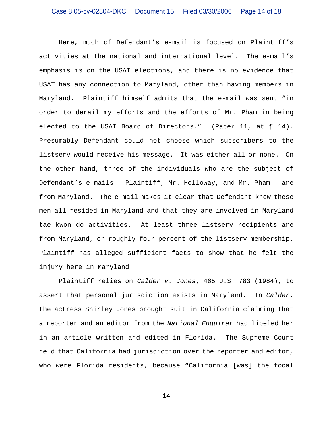Here, much of Defendant's e-mail is focused on Plaintiff's activities at the national and international level. The e-mail's emphasis is on the USAT elections, and there is no evidence that USAT has any connection to Maryland, other than having members in Maryland. Plaintiff himself admits that the e-mail was sent "in order to derail my efforts and the efforts of Mr. Pham in being elected to the USAT Board of Directors." (Paper 11, at ¶ 14). Presumably Defendant could not choose which subscribers to the listserv would receive his message. It was either all or none. On the other hand, three of the individuals who are the subject of Defendant's e-mails - Plaintiff, Mr. Holloway, and Mr. Pham – are from Maryland. The e-mail makes it clear that Defendant knew these men all resided in Maryland and that they are involved in Maryland tae kwon do activities. At least three listserv recipients are from Maryland, or roughly four percent of the listserv membership. Plaintiff has alleged sufficient facts to show that he felt the injury here in Maryland.

Plaintiff relies on *Calder v. Jones*, 465 U.S. 783 (1984), to assert that personal jurisdiction exists in Maryland. In *Calder*, the actress Shirley Jones brought suit in California claiming that a reporter and an editor from the *National Enquirer* had libeled her in an article written and edited in Florida. The Supreme Court held that California had jurisdiction over the reporter and editor, who were Florida residents, because "California [was] the focal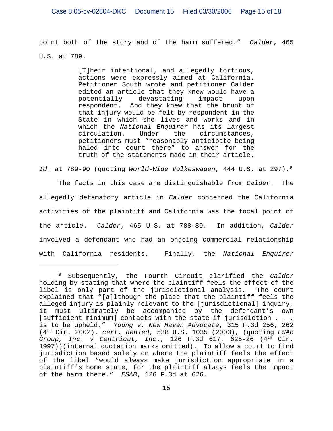point both of the story and of the harm suffered." *Calder*, 465 U.S. at 789.

> [T]heir intentional, and allegedly tortious, actions were expressly aimed at California. Petitioner South wrote and petitioner Calder edited an article that they knew would have a potentially devastating impact upon respondent. And they knew that the brunt of that injury would be felt by respondent in the State in which she lives and works and in which the *National Enquirer* has its largest circulation. Under the circumstances, petitioners must "reasonably anticipate being haled into court there" to answer for the truth of the statements made in their article.

*Id*. at 789-90 (quoting *World-Wide Volkeswagen*, 444 U.S. at 297).9

The facts in this case are distinguishable from *Calder*. The allegedly defamatory article in *Calder* concerned the California activities of the plaintiff and California was the focal point of the article. *Calder*, 465 U.S. at 788-89. In addition, *Calder* involved a defendant who had an ongoing commercial relationship with California residents. Finally, the *National Enquirer*

<sup>9</sup> Subsequently, the Fourth Circuit clarified the *Calder* holding by stating that where the plaintiff feels the effect of the libel is only part of the jurisdictional analysis. The court explained that "[a]lthough the place that the plaintiff feels the alleged injury is plainly relevant to the [jurisdictional] inquiry, it must ultimately be accompanied by the defendant's own [sufficient minimum] contacts with the state if jurisdiction . . . is to be upheld." *Young v. New Haven Advocate*, 315 F.3d 256, 262 (4th Cir. 2002), *cert. denied*, 538 U.S. 1035 (2003), (quoting *ESAB Group, Inc. v Centricut, Inc*., 126 F.3d 617, 625-26 (4th Cir. 1997))(internal quotation marks omitted). To allow a court to find jurisdiction based solely on where the plaintiff feels the effect of the libel "would always make jurisdiction appropriate in a plaintiff's home state, for the plaintiff always feels the impact of the harm there." *ESAB*, 126 F.3d at 626.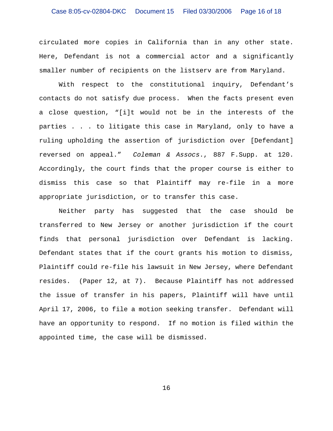circulated more copies in California than in any other state. Here, Defendant is not a commercial actor and a significantly smaller number of recipients on the listserv are from Maryland.

With respect to the constitutional inquiry, Defendant's contacts do not satisfy due process. When the facts present even a close question, "[i]t would not be in the interests of the parties . . . to litigate this case in Maryland, only to have a ruling upholding the assertion of jurisdiction over [Defendant] reversed on appeal." *Coleman & Assocs*., 887 F.Supp. at 120. Accordingly, the court finds that the proper course is either to dismiss this case so that Plaintiff may re-file in a more appropriate jurisdiction, or to transfer this case.

Neither party has suggested that the case should be transferred to New Jersey or another jurisdiction if the court finds that personal jurisdiction over Defendant is lacking. Defendant states that if the court grants his motion to dismiss, Plaintiff could re-file his lawsuit in New Jersey, where Defendant resides. (Paper 12, at 7). Because Plaintiff has not addressed the issue of transfer in his papers, Plaintiff will have until April 17, 2006, to file a motion seeking transfer. Defendant will have an opportunity to respond. If no motion is filed within the appointed time, the case will be dismissed.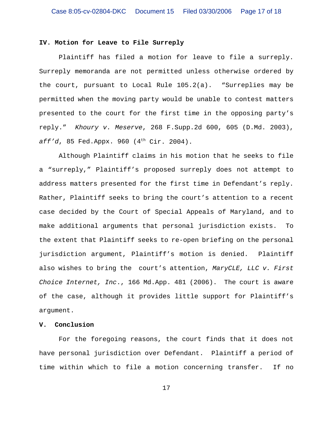## **IV. Motion for Leave to File Surreply**

Plaintiff has filed a motion for leave to file a surreply. Surreply memoranda are not permitted unless otherwise ordered by the court, pursuant to Local Rule 105.2(a). "Surreplies may be permitted when the moving party would be unable to contest matters presented to the court for the first time in the opposing party's reply." *Khoury v. Meserve*, 268 F.Supp.2d 600, 605 (D.Md. 2003), aff'd, 85 Fed.Appx. 960 (4<sup>th</sup> Cir. 2004).

Although Plaintiff claims in his motion that he seeks to file a "surreply," Plaintiff's proposed surreply does not attempt to address matters presented for the first time in Defendant's reply. Rather, Plaintiff seeks to bring the court's attention to a recent case decided by the Court of Special Appeals of Maryland, and to make additional arguments that personal jurisdiction exists. To the extent that Plaintiff seeks to re-open briefing on the personal jurisdiction argument, Plaintiff's motion is denied. Plaintiff also wishes to bring the court's attention, *MaryCLE, LLC v. First Choice Internet, Inc*., 166 Md.App. 481 (2006). The court is aware of the case, although it provides little support for Plaintiff's argument.

### **V. Conclusion**

For the foregoing reasons, the court finds that it does not have personal jurisdiction over Defendant. Plaintiff a period of time within which to file a motion concerning transfer. If no